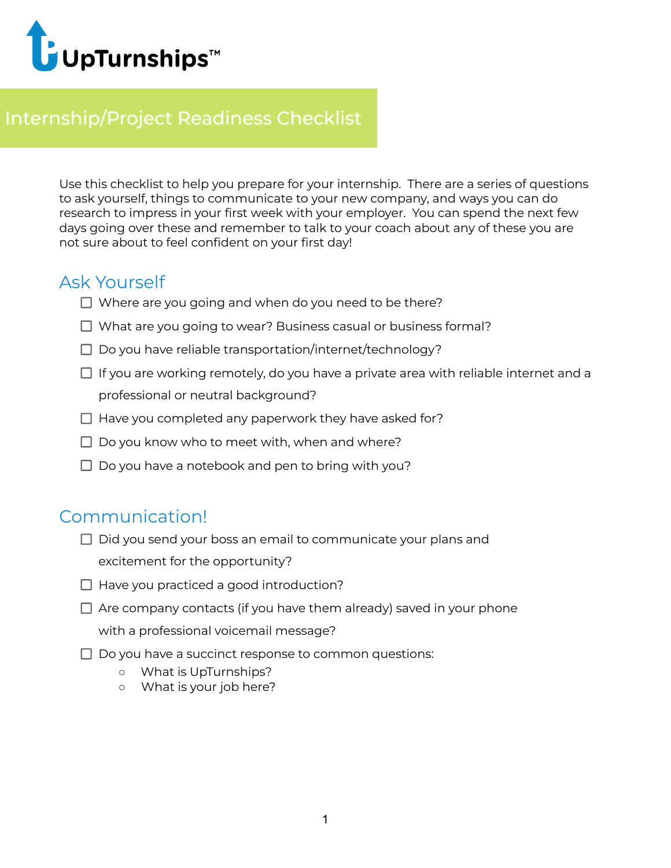

## **Internship/Project Readiness Checklist**

Use this checklist to help you prepare for your internship. There are a series of questions to ask yourself, things to communicate to your new company, and ways you can do research to impress in your first week with your employer. You can spend the next few days going over these and remember to talk to your coach about any of these you are not sure about to feel confident on your first day!

#### Ask Yourself

- $\Box$  Where are you going and when do you need to be there?
- $\Box$  What are you going to wear? Business casual or business formal?
- $\Box$  Do you have reliable transportation/internet/technology?
- $\Box$  If you are working remotely, do you have a private area with reliable internet and a professional or neutral background?
- $\Box$  Have you completed any paperwork they have asked for?
- $\Box$  Do you know who to meet with, when and where?
- $\Box$  Do you have a notebook and pen to bring with you?

#### Communication!

- $\Box$  Did you send your boss an email to communicate your plans and excitement for the opportunity?
- $\Box$  Have you practiced a good introduction?
- $\Box$  Are company contacts (if you have them already) saved in your phone with a professional voicemail message?
- $\Box$  Do you have a succinct response to common questions:
	- What is UpTurnships?
	- What is your job here?